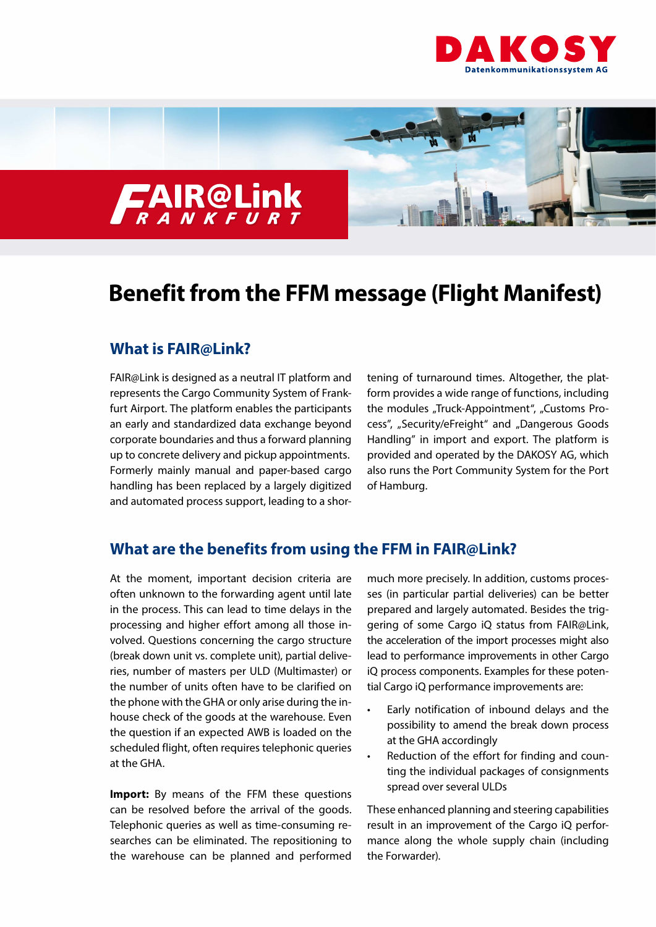



# **Benefit from the FFM message (Flight Manifest)**

## **What is FAIR@Link?**

FAIR@Link is designed as a neutral IT platform and represents the Cargo Community System of Frankfurt Airport. The platform enables the participants an early and standardized data exchange beyond corporate boundaries and thus a forward planning up to concrete delivery and pickup appointments. Formerly mainly manual and paper-based cargo handling has been replaced by a largely digitized and automated process support, leading to a shortening of turnaround times. Altogether, the platform provides a wide range of functions, including the modules "Truck-Appointment", "Customs Process", "Security/eFreight" and "Dangerous Goods Handling" in import and export. The platform is provided and operated by the DAKOSY AG, which also runs the Port Community System for the Port of Hamburg.

## **What are the benefits from using the FFM in FAIR@Link?**

At the moment, important decision criteria are often unknown to the forwarding agent until late in the process. This can lead to time delays in the processing and higher effort among all those involved. Questions concerning the cargo structure (break down unit vs. complete unit), partial deliveries, number of masters per ULD (Multimaster) or the number of units often have to be clarified on the phone with the GHA or only arise during the inhouse check of the goods at the warehouse. Even the question if an expected AWB is loaded on the scheduled flight, often requires telephonic queries at the GHA.

**Import:** By means of the FFM these questions can be resolved before the arrival of the goods. Telephonic queries as well as time-consuming researches can be eliminated. The repositioning to the warehouse can be planned and performed

much more precisely. In addition, customs processes (in particular partial deliveries) can be better prepared and largely automated. Besides the triggering of some Cargo iQ status from FAIR@Link, the acceleration of the import processes might also lead to performance improvements in other Cargo iQ process components. Examples for these potential Cargo iQ performance improvements are:

- Early notification of inbound delays and the possibility to amend the break down process at the GHA accordingly
- Reduction of the effort for finding and counting the individual packages of consignments spread over several ULDs

These enhanced planning and steering capabilities result in an improvement of the Cargo iQ performance along the whole supply chain (including the Forwarder).